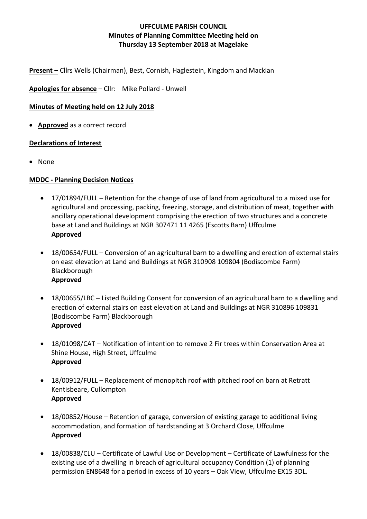**Present –** Cllrs Wells (Chairman), Best, Cornish, Haglestein, Kingdom and Mackian

**Apologies for absence** – Cllr: Mike Pollard - Unwell

# **Minutes of Meeting held on 12 July 2018**

• **Approved** as a correct record

# **Declarations of Interest**

• None

### **MDDC - Planning Decision Notices**

- 17/01894/FULL Retention for the change of use of land from agricultural to a mixed use for agricultural and processing, packing, freezing, storage, and distribution of meat, together with ancillary operational development comprising the erection of two structures and a concrete base at Land and Buildings at NGR 307471 11 4265 (Escotts Barn) Uffculme **Approved**
- 18/00654/FULL Conversion of an agricultural barn to a dwelling and erection of external stairs on east elevation at Land and Buildings at NGR 310908 109804 (Bodiscombe Farm) Blackborough **Approved**
- 18/00655/LBC Listed Building Consent for conversion of an agricultural barn to a dwelling and erection of external stairs on east elevation at Land and Buildings at NGR 310896 109831 (Bodiscombe Farm) Blackborough **Approved**
- 18/01098/CAT Notification of intention to remove 2 Fir trees within Conservation Area at Shine House, High Street, Uffculme **Approved**
- 18/00912/FULL Replacement of monopitch roof with pitched roof on barn at Retratt Kentisbeare, Cullompton **Approved**
- 18/00852/House Retention of garage, conversion of existing garage to additional living accommodation, and formation of hardstanding at 3 Orchard Close, Uffculme **Approved**
- 18/00838/CLU Certificate of Lawful Use or Development Certificate of Lawfulness for the existing use of a dwelling in breach of agricultural occupancy Condition (1) of planning permission EN8648 for a period in excess of 10 years – Oak View, Uffculme EX15 3DL.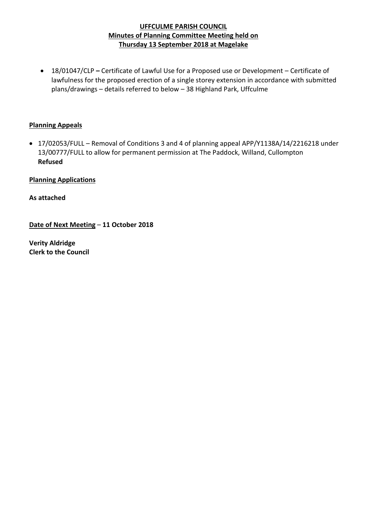• 18/01047/CLP **–** Certificate of Lawful Use for a Proposed use or Development – Certificate of lawfulness for the proposed erection of a single storey extension in accordance with submitted plans/drawings – details referred to below – 38 Highland Park, Uffculme

### **Planning Appeals**

• 17/02053/FULL – Removal of Conditions 3 and 4 of planning appeal APP/Y1138A/14/2216218 under 13/00777/FULL to allow for permanent permission at The Paddock, Willand, Cullompton **Refused**

**Planning Applications**

**As attached**

**Date of Next Meeting** – **11 October 2018**

**Verity Aldridge Clerk to the Council**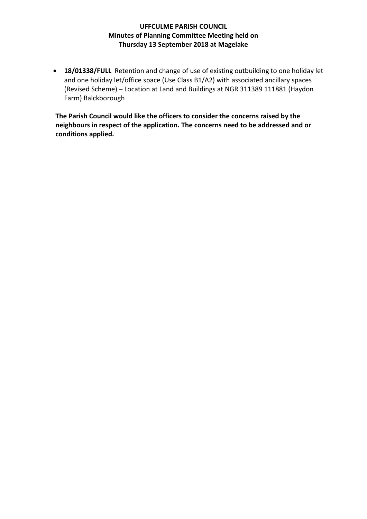• **18/01338/FULL** Retention and change of use of existing outbuilding to one holiday let and one holiday let/office space (Use Class B1/A2) with associated ancillary spaces (Revised Scheme) – Location at Land and Buildings at NGR 311389 111881 (Haydon Farm) Balckborough

**The Parish Council would like the officers to consider the concerns raised by the neighbours in respect of the application. The concerns need to be addressed and or conditions applied.**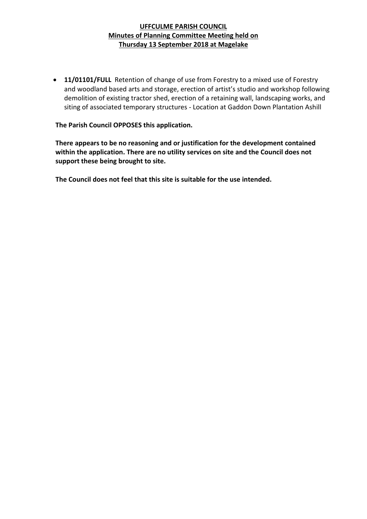• **11/01101/FULL** Retention of change of use from Forestry to a mixed use of Forestry and woodland based arts and storage, erection of artist's studio and workshop following demolition of existing tractor shed, erection of a retaining wall, landscaping works, and siting of associated temporary structures - Location at Gaddon Down Plantation Ashill

#### **The Parish Council OPPOSES this application.**

**There appears to be no reasoning and or justification for the development contained within the application. There are no utility services on site and the Council does not support these being brought to site.** 

**The Council does not feel that this site is suitable for the use intended.**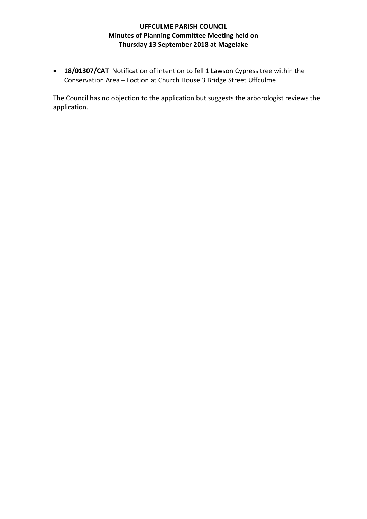• **18/01307/CAT** Notification of intention to fell 1 Lawson Cypress tree within the Conservation Area – Loction at Church House 3 Bridge Street Uffculme

The Council has no objection to the application but suggests the arborologist reviews the application.